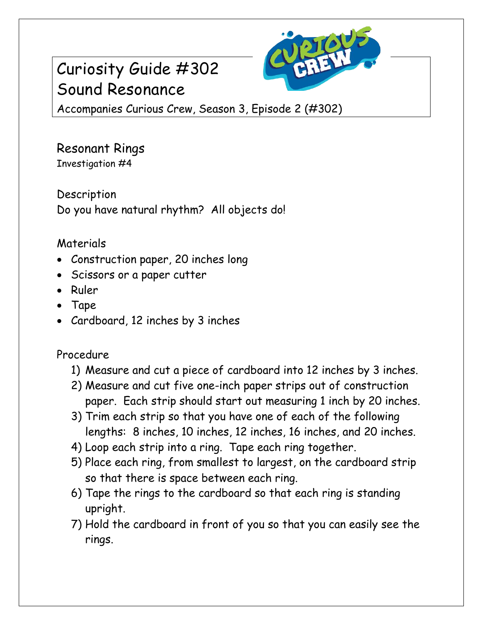# Curiosity Guide #302 Sound Resonance



Accompanies Curious Crew, Season 3, Episode 2 (#302)

Resonant Rings Investigation #4

Description Do you have natural rhythm? All objects do!

## Materials

- Construction paper, 20 inches long
- Scissors or a paper cutter
- Ruler
- Tape
- Cardboard, 12 inches by 3 inches

### Procedure

- 1) Measure and cut a piece of cardboard into 12 inches by 3 inches.
- 2) Measure and cut five one-inch paper strips out of construction paper. Each strip should start out measuring 1 inch by 20 inches.
- 3) Trim each strip so that you have one of each of the following lengths: 8 inches, 10 inches, 12 inches, 16 inches, and 20 inches.
- 4) Loop each strip into a ring. Tape each ring together.
- 5) Place each ring, from smallest to largest, on the cardboard strip so that there is space between each ring.
- 6) Tape the rings to the cardboard so that each ring is standing upright.
- 7) Hold the cardboard in front of you so that you can easily see the rings.